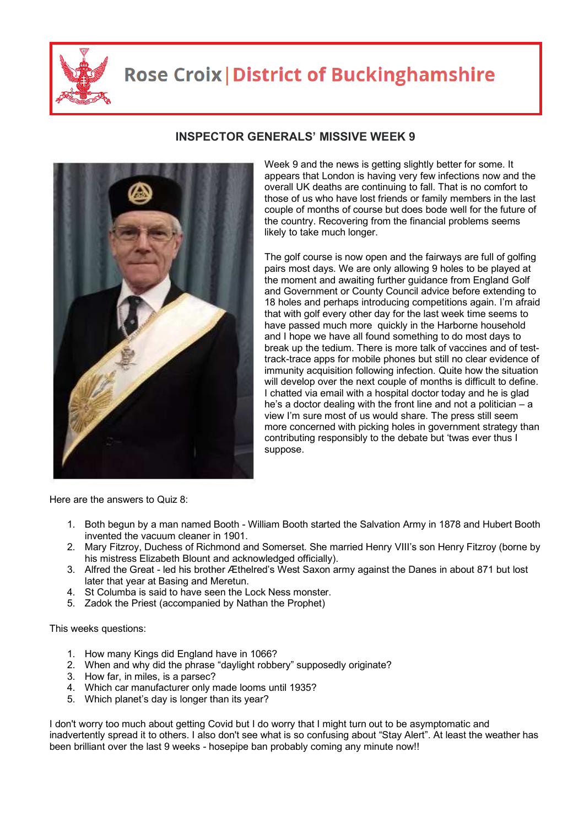

## **Rose Croix | District of Buckinghamshire**



## **INSPECTOR GENERALS' MISSIVE WEEK 9**

Week 9 and the news is getting slightly better for some. It appears that London is having very few infections now and the overall UK deaths are continuing to fall. That is no comfort to those of us who have lost friends or family members in the last couple of months of course but does bode well for the future of the country. Recovering from the financial problems seems likely to take much longer.

The golf course is now open and the fairways are full of golfing pairs most days. We are only allowing 9 holes to be played at the moment and awaiting further guidance from England Golf and Government or County Council advice before extending to 18 holes and perhaps introducing competitions again. I'm afraid that with golf every other day for the last week time seems to have passed much more quickly in the Harborne household and I hope we have all found something to do most days to break up the tedium. There is more talk of vaccines and of testtrack-trace apps for mobile phones but still no clear evidence of immunity acquisition following infection. Quite how the situation will develop over the next couple of months is difficult to define. I chatted via email with a hospital doctor today and he is glad he's a doctor dealing with the front line and not a politician – a view I'm sure most of us would share. The press still seem more concerned with picking holes in government strategy than contributing responsibly to the debate but 'twas ever thus I suppose.

Here are the answers to Quiz 8:

- 1. Both begun by a man named Booth William Booth started the Salvation Army in 1878 and Hubert Booth invented the vacuum cleaner in 1901.
- 2. Mary Fitzroy, Duchess of Richmond and Somerset. She married Henry VIII's son Henry Fitzroy (borne by his mistress Elizabeth Blount and acknowledged officially).
- 3. Alfred the Great led his brother Æthelred's West Saxon army against the Danes in about 871 but lost later that year at Basing and Meretun.
- 4. St Columba is said to have seen the Lock Ness monster.
- 5. Zadok the Priest (accompanied by Nathan the Prophet)

This weeks questions:

- 1. How many Kings did England have in 1066?
- 2. When and why did the phrase "daylight robbery" supposedly originate?
- 3. How far, in miles, is a parsec?
- 4. Which car manufacturer only made looms until 1935?
- 5. Which planet's day is longer than its year?

I don't worry too much about getting Covid but I do worry that I might turn out to be asymptomatic and inadvertently spread it to others. I also don't see what is so confusing about "Stay Alert". At least the weather has been brilliant over the last 9 weeks - hosepipe ban probably coming any minute now!!